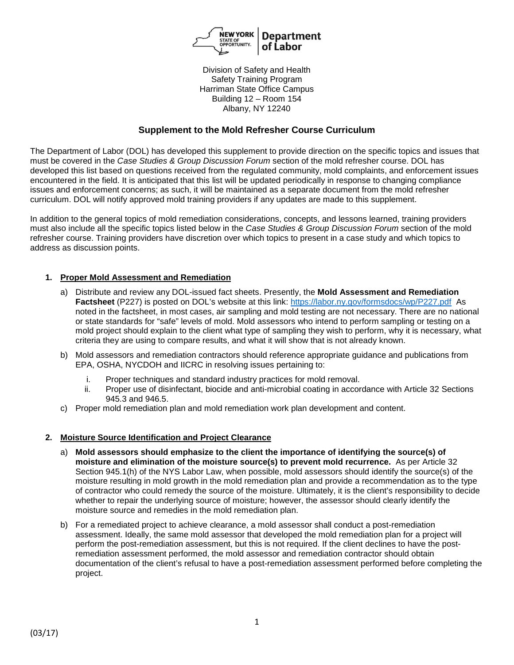

Division of Safety and Health Safety Training Program Harriman State Office Campus Building 12 – Room 154 Albany, NY 12240

# **Supplement to the Mold Refresher Course Curriculum**

The Department of Labor (DOL) has developed this supplement to provide direction on the specific topics and issues that must be covered in the *Case Studies & Group Discussion Forum* section of the mold refresher course. DOL has developed this list based on questions received from the regulated community, mold complaints, and enforcement issues encountered in the field. It is anticipated that this list will be updated periodically in response to changing compliance issues and enforcement concerns; as such, it will be maintained as a separate document from the mold refresher curriculum. DOL will notify approved mold training providers if any updates are made to this supplement.

In addition to the general topics of mold remediation considerations, concepts, and lessons learned, training providers must also include all the specific topics listed below in the *Case Studies & Group Discussion Forum* section of the mold refresher course. Training providers have discretion over which topics to present in a case study and which topics to address as discussion points.

## **1. Proper Mold Assessment and Remediation**

- a) Distribute and review any DOL-issued fact sheets. Presently, the **Mold Assessment and Remediation Factsheet** (P227) is posted on DOL's website at this link:<https://labor.ny.gov/formsdocs/wp/P227.pdf>As noted in the factsheet, in most cases, air sampling and mold testing are not necessary. There are no national or state standards for "safe" levels of mold. Mold assessors who intend to perform sampling or testing on a mold project should explain to the client what type of sampling they wish to perform, why it is necessary, what criteria they are using to compare results, and what it will show that is not already known.
- b) Mold assessors and remediation contractors should reference appropriate guidance and publications from EPA, OSHA, NYCDOH and IICRC in resolving issues pertaining to:
	- i. Proper techniques and standard industry practices for mold removal.
	- ii. Proper use of disinfectant, biocide and anti-microbial coating in accordance with Article 32 Sections 945.3 and 946.5.
- c) Proper mold remediation plan and mold remediation work plan development and content.

#### **2. Moisture Source Identification and Project Clearance**

- a) **Mold assessors should emphasize to the client the importance of identifying the source(s) of moisture and elimination of the moisture source(s) to prevent mold recurrence.** As per Article 32 Section 945.1(h) of the NYS Labor Law, when possible, mold assessors should identify the source(s) of the moisture resulting in mold growth in the mold remediation plan and provide a recommendation as to the type of contractor who could remedy the source of the moisture. Ultimately, it is the client's responsibility to decide whether to repair the underlying source of moisture; however, the assessor should clearly identify the moisture source and remedies in the mold remediation plan.
- b) For a remediated project to achieve clearance, a mold assessor shall conduct a post-remediation assessment. Ideally, the same mold assessor that developed the mold remediation plan for a project will perform the post-remediation assessment, but this is not required. If the client declines to have the postremediation assessment performed, the mold assessor and remediation contractor should obtain documentation of the client's refusal to have a post-remediation assessment performed before completing the project.